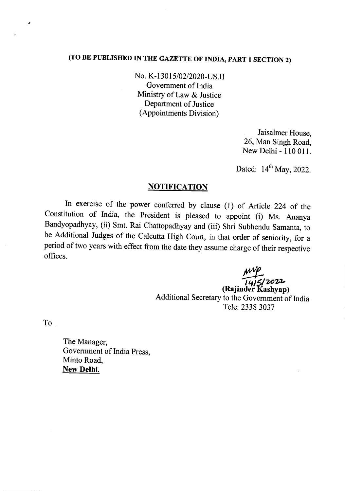# (TO BE PUBLISHED IN THE GAZETTE OF INDIA, PART 1 SECTION 2)

No. K-13015/02/2020-US.II Government of India Ministry of Law & Justice Department of Justice (Appointments Division)

> Jaisalmer House, 26, Man Singh Road, New Delhi - 110 011.

Dated:  $14<sup>th</sup>$  May, 2022.

#### **NOTIFICATION**

In exercise of the power conferred by clause (1) of Article 224 of the Constitution of India, the President is pleased to appoint (i) Ms. Ananya Bandyopadhyay, (ii) Smt. Rai Chattopadhyay and (iii) Shri Subhendu Samanta, to be Additional Judges of the Calcutta High Court, in that order of seniority, for a period of two years with effect from the date they assume charge of their respective offices.

~ *<sup>J</sup>* '1*<sup>J</sup>* t:;/*zozs-*

(Rajinder Kashyap) Additional Secretary to the Government of India Tele: 2338 3037

To

*c:*

The Manager, Government of India Press, Minto Road, New Delhi.